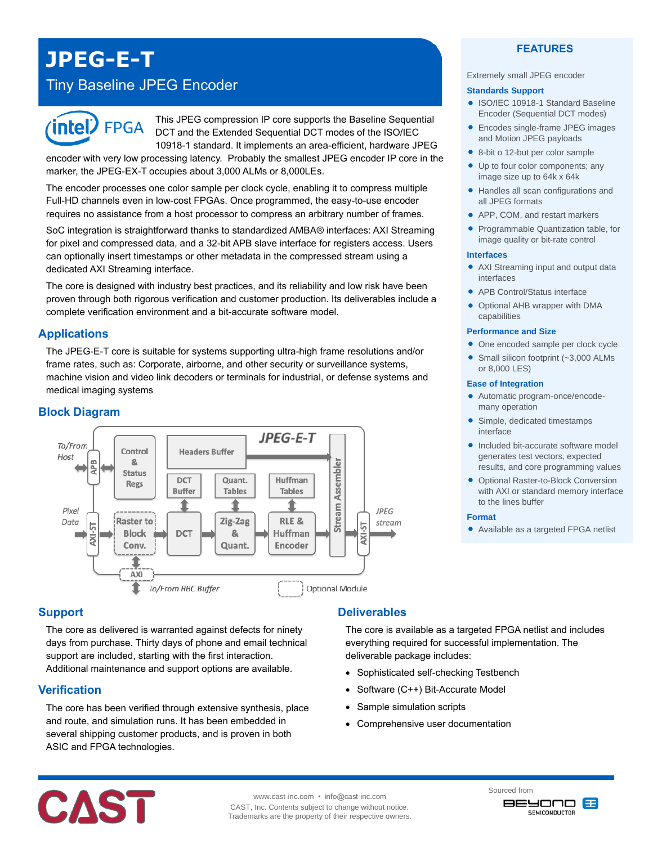# **JPEG-E-T**

# Tiny Baseline JPEG Encoder



This JPEG compression IP core supports the Baseline Sequential DCT and the Extended Sequential DCT modes of the ISO/IEC 10918-1 standard. It implements an area-efficient, hardware JPEG

encoder with very low processing latency. Probably the smallest JPEG encoder IP core in the marker, the JPEG-EX-T occupies about 3,000 ALMs or 8,000LEs.

The encoder processes one color sample per clock cycle, enabling it to compress multiple Full-HD channels even in low-cost FPGAs. Once programmed, the easy-to-use encoder requires no assistance from a host processor to compress an arbitrary number of frames.

SoC integration is straightforward thanks to standardized AMBA® interfaces: AXI Streaming for pixel and compressed data, and a 32-bit APB slave interface for registers access. Users can optionally insert timestamps or other metadata in the compressed stream using a dedicated AXI Streaming interface.

The core is designed with industry best practices, and its reliability and low risk have been proven through both rigorous verification and customer production. Its deliverables include a complete verification environment and a bit-accurate software model.

# **Applications**

The JPEG-E-T core is suitable for systems supporting ultra-high frame resolutions and/or frame rates, such as: Corporate, airborne, and other security or surveillance systems, machine vision and video link decoders or terminals for industrial, or defense systems and medical imaging systems

# **Block Diagram**



# **Support**

The core as delivered is warranted against defects for ninety days from purchase. Thirty days of phone and email technical support are included, starting with the first interaction. Additional maintenance and support options are available.

### **Verification**

The core has been verified through extensive synthesis, place and route, and simulation runs. It has been embedded in several shipping customer products, and is proven in both ASIC and FPGA technologies.

# **Deliverables**

The core is available as a targeted FPGA netlist and includes everything required for successful implementation. The deliverable package includes:

- Sophisticated self-checking Testbench
- Software (C++) Bit-Accurate Model
- Sample simulation scripts
- Comprehensive user documentation

# **FEATURES**

#### Extremely small JPEG encoder

#### **Standards Support**

- ISO/IEC 10918-1 Standard Baseline Encoder (Sequential DCT modes)
- Encodes single-frame JPEG images and Motion JPEG payloads
- 8-bit o 12-but per color sample
- Up to four color components; any image size up to 64k x 64k
- Handles all scan configurations and all JPEG formats
- APP, COM, and restart markers
- Programmable Quantization table, for image quality or bit-rate control

#### **Interfaces**

- AXI Streaming input and output data interfaces
- APB Control/Status interface
- Optional AHB wrapper with DMA capabilities

#### **Performance and Size**

- One encoded sample per clock cycle
- Small silicon footprint (~3,000 ALMs) or 8,000 LES)

#### **Ease of Integration**

- Automatic program-once/encodemany operation
- Simple, dedicated timestamps interface
- **.** Included bit-accurate software model generates test vectors, expected results, and core programming values
- **Optional Raster-to-Block Conversion** with AXI or standard memory interface to the lines buffer

#### **Format**

Available as a targeted FPGA netlist



www.cast-inc.com • info@cast-inc.com CAST, Inc. Contents subject to change without notice. Trademarks are the property of their respective owners. Sourced from onovee